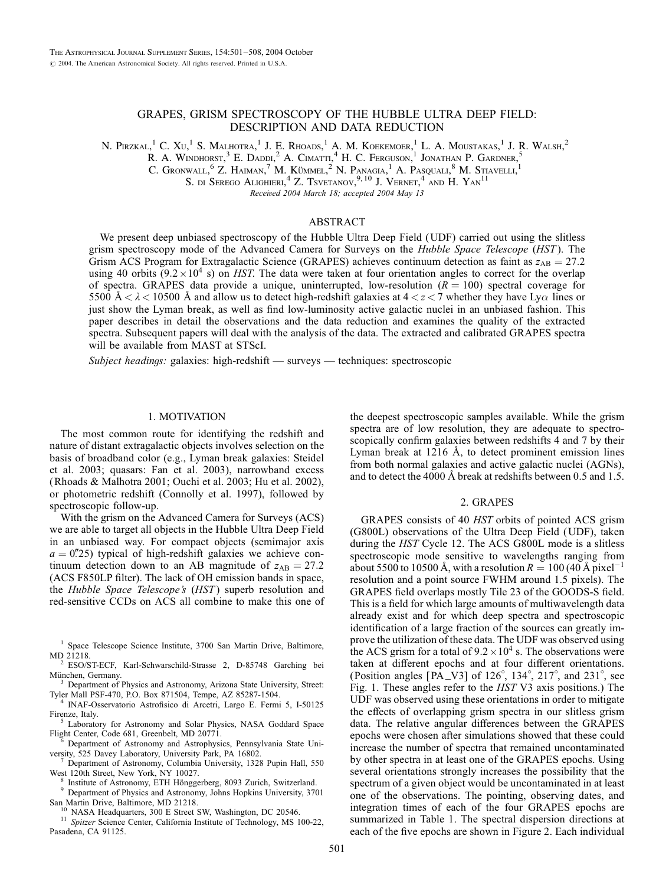# GRAPES, GRISM SPECTROSCOPY OF THE HUBBLE ULTRA DEEP FIELD: DESCRIPTION AND DATA REDUCTION

N. Pirzkal,<sup>1</sup> C. Xu,<sup>1</sup> S. Malhotra,<sup>1</sup> J. E. Rhoads,<sup>1</sup> A. M. Koekemoer,<sup>1</sup> L. A. Moustakas,<sup>1</sup> J. R. Walsh,<sup>2</sup>

R. A. Windhorst, $^3$  E. Daddi, $^2$  A. Cimatti, $^4$  H. C. Ferguson, $^1$  Jonathan P. Gardner,  $^5$ 

C. Gronwall,  $6$  Z. Haiman,  $7$  M. Kümmel,  $2$  N. Panagia,  $1$  A. Pasouali,  $8$  M. Stiavelli,  $1$ 

S. di Serego Alighieri,  $4$  Z. Tsvetanov,  $9,10$  J. Vernet,  $4$  and H. Yan<sup>11</sup>

Received 2004 March 18; accepted 2004 May 13

### ABSTRACT

We present deep unbiased spectroscopy of the Hubble Ultra Deep Field (UDF) carried out using the slitless grism spectroscopy mode of the Advanced Camera for Surveys on the Hubble Space Telescope (HST). The Grism ACS Program for Extragalactic Science (GRAPES) achieves continuum detection as faint as  $z_{AB} = 27.2$ using 40 orbits (9.2  $\times$  10<sup>4</sup> s) on *HST*. The data were taken at four orientation angles to correct for the overlap of spectra. GRAPES data provide a unique, uninterrupted, low-resolution  $(R = 100)$  spectral coverage for 5500  $A < \lambda < 10500$  Å and allow us to detect high-redshift galaxies at  $4 < z < 7$  whether they have Ly $\alpha$  lines or just show the Lyman break, as well as find low-luminosity active galactic nuclei in an unbiased fashion. This paper describes in detail the observations and the data reduction and examines the quality of the extracted spectra. Subsequent papers will deal with the analysis of the data. The extracted and calibrated GRAPES spectra will be available from MAST at STScI.

Subject headings: galaxies: high-redshift — surveys — techniques: spectroscopic

# 1. MOTIVATION

The most common route for identifying the redshift and nature of distant extragalactic objects involves selection on the basis of broadband color (e.g., Lyman break galaxies: Steidel et al. 2003; quasars: Fan et al. 2003), narrowband excess (Rhoads & Malhotra 2001; Ouchi et al. 2003; Hu et al. 2002), or photometric redshift (Connolly et al. 1997), followed by spectroscopic follow-up.

With the grism on the Advanced Camera for Surveys (ACS) we are able to target all objects in the Hubble Ultra Deep Field in an unbiased way. For compact objects (semimajor axis  $a = 0.25$ ) typical of high-redshift galaxies we achieve continuum detection down to an AB magnitude of  $z_{AB} = 27.2$ (ACS F850LP filter). The lack of OH emission bands in space, the Hubble Space Telescope's (HST) superb resolution and red-sensitive CCDs on ACS all combine to make this one of

ESO/ST-ECF, Karl-Schwarschild-Strasse 2, D-85748 Garching bei München, Germany.

<sup>3</sup> Department of Physics and Astronomy, Arizona State University, Street:

Tyler Mall PSF-470, P.O. Box 871504, Tempe, AZ 85287-1504.<br>
<sup>4</sup> INAF-Osservatorio Astrofisico di Arcetri, Largo E. Fermi 5, I-50125<br>
Firenze, Italy.<br>
<sup>5</sup> Laboratory for Astronomy and Solar Physics. NASA Goddard Space

 $5$  Laboratory for Astronomy and Solar Physics, NASA Goddard Space Flight Center, Code 681, Greenbelt, MD 20771.

Department of Astronomy and Astrophysics, Pennsylvania State Uni-

versity, 525 Davey Laboratory, University Park, PA 16802.<br>
<sup>7</sup> Department of Astronomy, Columbia University, 1328 Pupin Hall, 550<br>
West 120th Street, New York, NY 10027.

<sup>8</sup> Institute of Astronomy, ETH Hönggerberg, 8093 Zurich, Switzerland.<br><sup>9</sup> Department of Physics and Astronomy, Johns Hopkins University, 3701 San Martin Drive, Baltimore, MD 21218.

<sup>10</sup> NASA Headquarters, 300 E Street SW, Washington, DC 20546. <sup>11</sup> Spitzer Science Center, California Institute of Technology, MS 100-22, Pasadena, CA 91125.

the deepest spectroscopic samples available. While the grism spectra are of low resolution, they are adequate to spectroscopically confirm galaxies between redshifts 4 and 7 by their Lyman break at  $1216$  Å, to detect prominent emission lines from both normal galaxies and active galactic nuclei (AGNs), and to detect the 4000 Å break at redshifts between 0.5 and 1.5.

#### 2. GRAPES

GRAPES consists of 40 HST orbits of pointed ACS grism (G800L) observations of the Ultra Deep Field (UDF), taken during the HST Cycle 12. The ACS G800L mode is a slitless spectroscopic mode sensitive to wavelengths ranging from about 5500 to 10500 Å, with a resolution  $R = 100 (40 \text{ Å pixel}^{-1})$ resolution and a point source FWHM around 1.5 pixels). The GRAPES field overlaps mostly Tile 23 of the GOODS-S field. This is a field for which large amounts of multiwavelength data already exist and for which deep spectra and spectroscopic identification of a large fraction of the sources can greatly improve the utilization of these data. The UDF was observed using the ACS grism for a total of  $9.2 \times 10^4$  s. The observations were taken at different epochs and at four different orientations. (Position angles [PA\_V3] of  $126^\circ$ ,  $134^\circ$ ,  $217^\circ$ , and  $231^\circ$ , see Fig. 1. These angles refer to the HST V3 axis positions.) The UDF was observed using these orientations in order to mitigate the effects of overlapping grism spectra in our slitless grism data. The relative angular differences between the GRAPES epochs were chosen after simulations showed that these could increase the number of spectra that remained uncontaminated by other spectra in at least one of the GRAPES epochs. Using several orientations strongly increases the possibility that the spectrum of a given object would be uncontaminated in at least one of the observations. The pointing, observing dates, and integration times of each of the four GRAPES epochs are summarized in Table 1. The spectral dispersion directions at each of the five epochs are shown in Figure 2. Each individual

<sup>&</sup>lt;sup>1</sup> Space Telescope Science Institute, 3700 San Martin Drive, Baltimore,<br>MD 21218.<br><sup>2</sup> ESO/ST-ECE Karl-Schwarschild Strasse, 2, D.95749 Garshina, hai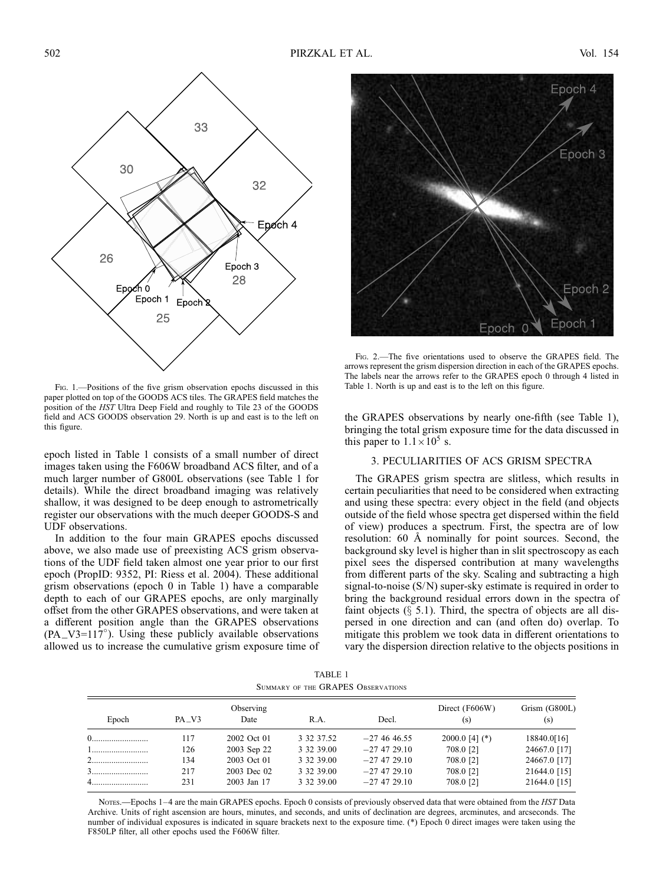

FIG. 1.-Positions of the five grism observation epochs discussed in this paper plotted on top of the GOODS ACS tiles. The GRAPES field matches the position of the HST Ultra Deep Field and roughly to Tile 23 of the GOODS field and ACS GOODS observation 29. North is up and east is to the left on this figure.

epoch listed in Table 1 consists of a small number of direct images taken using the F606W broadband ACS filter, and of a much larger number of G800L observations (see Table 1 for details). While the direct broadband imaging was relatively shallow, it was designed to be deep enough to astrometrically register our observations with the much deeper GOODS-S and UDF observations.

In addition to the four main GRAPES epochs discussed above, we also made use of preexisting ACS grism observations of the UDF field taken almost one year prior to our first epoch (PropID: 9352, PI: Riess et al. 2004). These additional grism observations (epoch 0 in Table 1) have a comparable depth to each of our GRAPES epochs, are only marginally offset from the other GRAPES observations, and were taken at a different position angle than the GRAPES observations  $(PA_V3=117^\circ)$ . Using these publicly available observations allowed us to increase the cumulative grism exposure time of



Fig. 2.—The five orientations used to observe the GRAPES field. The arrows represent the grism dispersion direction in each of the GRAPES epochs. The labels near the arrows refer to the GRAPES epoch 0 through 4 listed in Table 1. North is up and east is to the left on this figure.

the GRAPES observations by nearly one-fifth (see Table 1), bringing the total grism exposure time for the data discussed in this paper to  $1.1 \times 10^5$  s.

### 3. PECULIARITIES OF ACS GRISM SPECTRA

The GRAPES grism spectra are slitless, which results in certain peculiarities that need to be considered when extracting and using these spectra: every object in the field (and objects outside of the field whose spectra get dispersed within the field of view) produces a spectrum. First, the spectra are of low resolution: 60 Å nominally for point sources. Second, the background sky level is higher than in slit spectroscopy as each pixel sees the dispersed contribution at many wavelengths from different parts of the sky. Scaling and subtracting a high signal-to-noise (S/N) super-sky estimate is required in order to bring the background residual errors down in the spectra of faint objects  $(\S$  5.1). Third, the spectra of objects are all dispersed in one direction and can (and often do) overlap. To mitigate this problem we took data in different orientations to vary the dispersion direction relative to the objects positions in

TABLE 1 Summary of the GRAPES Observations

|       |           |                   |            |                | Direct (F606W)<br>(s) | Grism (G800L)<br>(s) |
|-------|-----------|-------------------|------------|----------------|-----------------------|----------------------|
| Epoch | $PA$ $V3$ | Observing<br>Date | R.A.       | Decl.          |                       |                      |
|       | 117       | 2002 Oct 01       | 3 32 37.52 | $-274646.55$   | 2000.0 [4] $(*)$      | 18840.0[16]          |
|       | 126       | 2003 Sep 22       | 3 32 39.00 | $-27$ 47 29.10 | 708.0 [2]             | 24667.0 [17]         |
|       | 134       | 2003 Oct 01       | 3 32 39.00 | $-27$ 47 29.10 | 708.0 [2]             | 24667.0 [17]         |
|       | 217       | 2003 Dec 02       | 3 32 39.00 | $-27$ 47 29.10 | 708.0 [2]             | 21644.0 [15]         |
| $4$   | 231       | 2003 Jan 17       | 3 32 39.00 | $-27$ 47 29.10 | 708.0 [2]             | 21644.0 [15]         |

Notes.—Epochs 1–4 are the main GRAPES epochs. Epoch 0 consists of previously observed data that were obtained from the HST Data Archive. Units of right ascension are hours, minutes, and seconds, and units of declination are degrees, arcminutes, and arcseconds. The number of individual exposures is indicated in square brackets next to the exposure time. (\*) Epoch 0 direct images were taken using the F850LP filter, all other epochs used the F606W filter.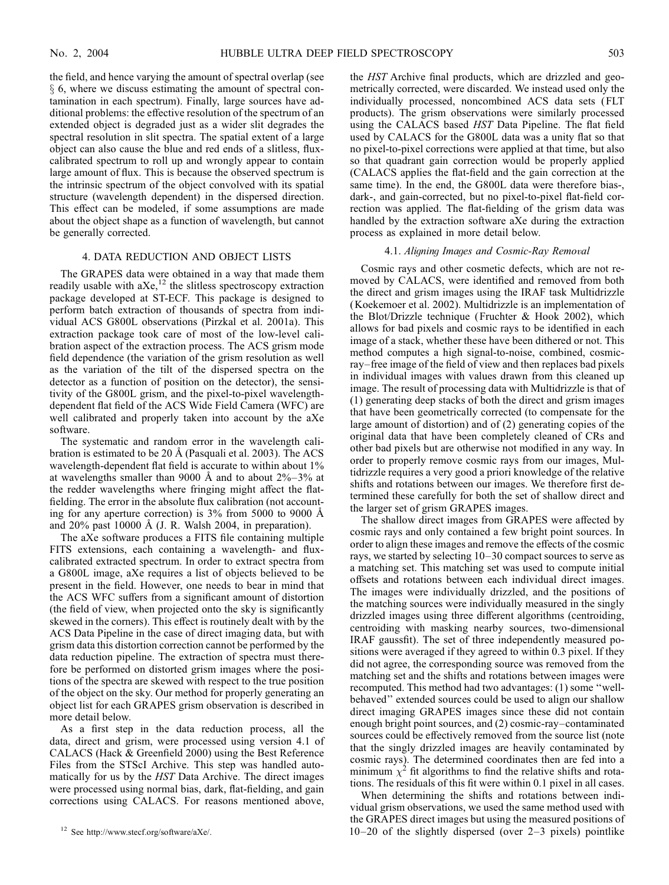the field, and hence varying the amount of spectral overlap (see  $\S$  6, where we discuss estimating the amount of spectral contamination in each spectrum). Finally, large sources have additional problems: the effective resolution of the spectrum of an extended object is degraded just as a wider slit degrades the spectral resolution in slit spectra. The spatial extent of a large object can also cause the blue and red ends of a slitless, fluxcalibrated spectrum to roll up and wrongly appear to contain large amount of flux. This is because the observed spectrum is the intrinsic spectrum of the object convolved with its spatial structure (wavelength dependent) in the dispersed direction. This effect can be modeled, if some assumptions are made about the object shape as a function of wavelength, but cannot be generally corrected.

# 4. DATA REDUCTION AND OBJECT LISTS

The GRAPES data were obtained in a way that made them readily usable with  $aXe<sub>1</sub><sup>12</sup>$  the slitless spectroscopy extraction package developed at ST-ECF. This package is designed to perform batch extraction of thousands of spectra from individual ACS G800L observations (Pirzkal et al. 2001a). This extraction package took care of most of the low-level calibration aspect of the extraction process. The ACS grism mode field dependence (the variation of the grism resolution as well as the variation of the tilt of the dispersed spectra on the detector as a function of position on the detector), the sensitivity of the G800L grism, and the pixel-to-pixel wavelengthdependent flat field of the ACS Wide Field Camera (WFC) are well calibrated and properly taken into account by the aXe software.

The systematic and random error in the wavelength calibration is estimated to be 20 Å (Pasquali et al. 2003). The ACS wavelength-dependent flat field is accurate to within about  $1\%$ at wavelengths smaller than 9000 Å and to about  $2\% - 3\%$  at the redder wavelengths where fringing might affect the flatfielding. The error in the absolute flux calibration (not accounting for any aperture correction) is  $3\%$  from 5000 to 9000 Å and  $20\%$  past 10000 Å (J. R. Walsh 2004, in preparation).

The aXe software produces a FITS file containing multiple FITS extensions, each containing a wavelength- and fluxcalibrated extracted spectrum. In order to extract spectra from a G800L image, aXe requires a list of objects believed to be present in the field. However, one needs to bear in mind that the ACS WFC suffers from a significant amount of distortion (the field of view, when projected onto the sky is significantly skewed in the corners). This effect is routinely dealt with by the ACS Data Pipeline in the case of direct imaging data, but with grism data this distortion correction cannot be performed by the data reduction pipeline. The extraction of spectra must therefore be performed on distorted grism images where the positions of the spectra are skewed with respect to the true position of the object on the sky. Our method for properly generating an object list for each GRAPES grism observation is described in more detail below.

As a first step in the data reduction process, all the data, direct and grism, were processed using version 4.1 of CALACS (Hack & Greenfield 2000) using the Best Reference Files from the STScI Archive. This step was handled automatically for us by the HST Data Archive. The direct images were processed using normal bias, dark, flat-fielding, and gain corrections using CALACS. For reasons mentioned above, the HST Archive final products, which are drizzled and geometrically corrected, were discarded. We instead used only the individually processed, noncombined ACS data sets ( FLT products). The grism observations were similarly processed using the CALACS based HST Data Pipeline. The flat field used by CALACS for the G800L data was a unity flat so that no pixel-to-pixel corrections were applied at that time, but also so that quadrant gain correction would be properly applied (CALACS applies the flat-field and the gain correction at the same time). In the end, the G800L data were therefore bias-, dark-, and gain-corrected, but no pixel-to-pixel flat-field correction was applied. The flat-fielding of the grism data was handled by the extraction software aXe during the extraction process as explained in more detail below.

### 4.1. Aligning Images and Cosmic-Ray Removal

Cosmic rays and other cosmetic defects, which are not removed by CALACS, were identified and removed from both the direct and grism images using the IRAF task Multidrizzle (Koekemoer et al. 2002). Multidrizzle is an implementation of the Blot/Drizzle technique ( Fruchter & Hook 2002), which allows for bad pixels and cosmic rays to be identified in each image of a stack, whether these have been dithered or not. This method computes a high signal-to-noise, combined, cosmicray–free image of the field of view and then replaces bad pixels in individual images with values drawn from this cleaned up image. The result of processing data with Multidrizzle is that of (1) generating deep stacks of both the direct and grism images that have been geometrically corrected (to compensate for the large amount of distortion) and of (2) generating copies of the original data that have been completely cleaned of CRs and other bad pixels but are otherwise not modified in any way. In order to properly remove cosmic rays from our images, Multidrizzle requires a very good a priori knowledge of the relative shifts and rotations between our images. We therefore first determined these carefully for both the set of shallow direct and the larger set of grism GRAPES images.

The shallow direct images from GRAPES were affected by cosmic rays and only contained a few bright point sources. In order to align these images and remove the effects of the cosmic rays, we started by selecting 10–30 compact sources to serve as a matching set. This matching set was used to compute initial offsets and rotations between each individual direct images. The images were individually drizzled, and the positions of the matching sources were individually measured in the singly drizzled images using three different algorithms (centroiding, centroiding with masking nearby sources, two-dimensional IRAF gaussfit). The set of three independently measured positions were averaged if they agreed to within 0.3 pixel. If they did not agree, the corresponding source was removed from the matching set and the shifts and rotations between images were recomputed. This method had two advantages: (1) some ''wellbehaved'' extended sources could be used to align our shallow direct imaging GRAPES images since these did not contain enough bright point sources, and (2) cosmic-ray–contaminated sources could be effectively removed from the source list (note that the singly drizzled images are heavily contaminated by cosmic rays). The determined coordinates then are fed into a minimum  $\chi^2$  fit algorithms to find the relative shifts and rotations. The residuals of this fit were within 0.1 pixel in all cases.

When determining the shifts and rotations between individual grism observations, we used the same method used with the GRAPES direct images but using the measured positions of <sup>12</sup> See http://www.stecf.org/software/aXe/. 10–20 of the slightly dispersed (over 2–3 pixels) pointlike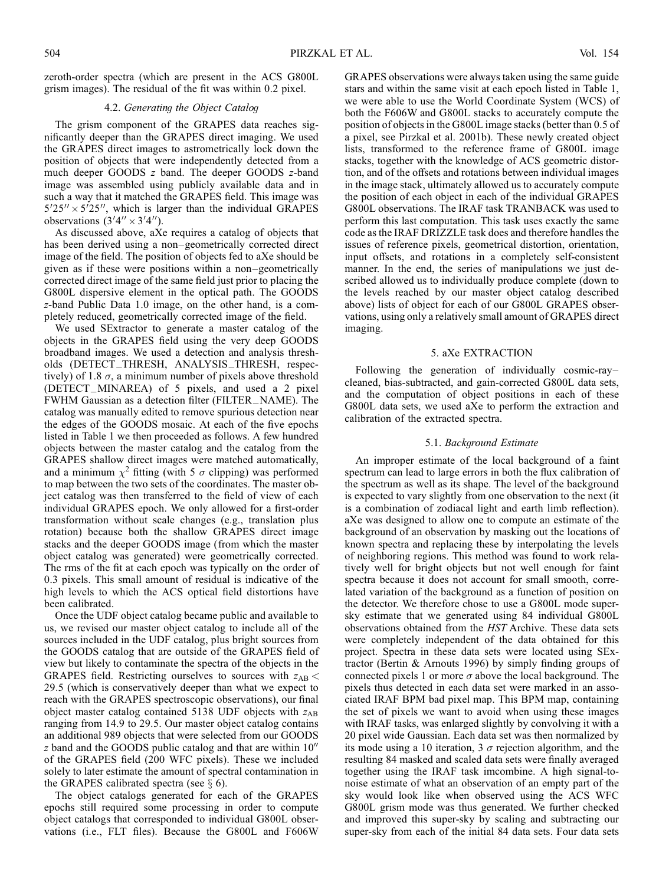zeroth-order spectra (which are present in the ACS G800L grism images). The residual of the fit was within 0.2 pixel.

# 4.2. Generating the Object Catalog

The grism component of the GRAPES data reaches significantly deeper than the GRAPES direct imaging. We used the GRAPES direct images to astrometrically lock down the position of objects that were independently detected from a much deeper GOODS z band. The deeper GOODS z-band image was assembled using publicly available data and in such a way that it matched the GRAPES field. This image was  $5'25'' \times 5'25''$ , which is larger than the individual GRAPES observations  $(3'4'' \times 3'4'')$ .

As discussed above, aXe requires a catalog of objects that has been derived using a non–geometrically corrected direct image of the field. The position of objects fed to aXe should be given as if these were positions within a non–geometrically corrected direct image of the same field just prior to placing the G800L dispersive element in the optical path. The GOODS z-band Public Data 1.0 image, on the other hand, is a completely reduced, geometrically corrected image of the field.

We used SExtractor to generate a master catalog of the objects in the GRAPES field using the very deep GOODS broadband images. We used a detection and analysis thresholds (DETECT\_THRESH, ANALYSIS\_THRESH, respectively) of 1.8  $\sigma$ , a minimum number of pixels above threshold (DETECT\_MINAREA) of 5 pixels, and used a 2 pixel FWHM Gaussian as a detection filter (FILTER\_NAME). The catalog was manually edited to remove spurious detection near the edges of the GOODS mosaic. At each of the five epochs listed in Table 1 we then proceeded as follows. A few hundred objects between the master catalog and the catalog from the GRAPES shallow direct images were matched automatically, and a minimum  $\chi^2$  fitting (with 5  $\sigma$  clipping) was performed to map between the two sets of the coordinates. The master object catalog was then transferred to the field of view of each individual GRAPES epoch. We only allowed for a first-order transformation without scale changes (e.g., translation plus rotation) because both the shallow GRAPES direct image stacks and the deeper GOODS image (from which the master object catalog was generated) were geometrically corrected. The rms of the fit at each epoch was typically on the order of 0.3 pixels. This small amount of residual is indicative of the high levels to which the ACS optical field distortions have been calibrated.

Once the UDF object catalog became public and available to us, we revised our master object catalog to include all of the sources included in the UDF catalog, plus bright sources from the GOODS catalog that are outside of the GRAPES field of view but likely to contaminate the spectra of the objects in the GRAPES field. Restricting ourselves to sources with  $z_{AB}$  < 29:5 (which is conservatively deeper than what we expect to reach with the GRAPES spectroscopic observations), our final object master catalog contained 5138 UDF objects with  $z_{AB}$ ranging from 14.9 to 29.5. Our master object catalog contains an additional 989 objects that were selected from our GOODS  $z$  band and the GOODS public catalog and that are within  $10<sup>0</sup>$ of the GRAPES field (200 WFC pixels). These we included solely to later estimate the amount of spectral contamination in the GRAPES calibrated spectra (see  $\S$  6).

The object catalogs generated for each of the GRAPES epochs still required some processing in order to compute object catalogs that corresponded to individual G800L observations (i.e., FLT files). Because the G800L and F606W GRAPES observations were always taken using the same guide stars and within the same visit at each epoch listed in Table 1, we were able to use the World Coordinate System (WCS) of both the F606W and G800L stacks to accurately compute the position of objects in the G800L image stacks (better than 0.5 of a pixel, see Pirzkal et al. 2001b). These newly created object lists, transformed to the reference frame of G800L image stacks, together with the knowledge of ACS geometric distortion, and of the offsets and rotations between individual images in the image stack, ultimately allowed us to accurately compute the position of each object in each of the individual GRAPES G800L observations. The IRAF task TRANBACK was used to perform this last computation. This task uses exactly the same code as the IRAF DRIZZLE task does and therefore handles the issues of reference pixels, geometrical distortion, orientation, input offsets, and rotations in a completely self-consistent manner. In the end, the series of manipulations we just described allowed us to individually produce complete (down to the levels reached by our master object catalog described above) lists of object for each of our G800L GRAPES observations, using only a relatively small amount of GRAPES direct imaging.

### 5. aXe EXTRACTION

Following the generation of individually cosmic-ray– cleaned, bias-subtracted, and gain-corrected G800L data sets, and the computation of object positions in each of these G800L data sets, we used aXe to perform the extraction and calibration of the extracted spectra.

## 5.1. Background Estimate

An improper estimate of the local background of a faint spectrum can lead to large errors in both the flux calibration of the spectrum as well as its shape. The level of the background is expected to vary slightly from one observation to the next (it is a combination of zodiacal light and earth limb reflection). aXe was designed to allow one to compute an estimate of the background of an observation by masking out the locations of known spectra and replacing these by interpolating the levels of neighboring regions. This method was found to work relatively well for bright objects but not well enough for faint spectra because it does not account for small smooth, correlated variation of the background as a function of position on the detector. We therefore chose to use a G800L mode supersky estimate that we generated using 84 individual G800L observations obtained from the HST Archive. These data sets were completely independent of the data obtained for this project. Spectra in these data sets were located using SExtractor (Bertin & Arnouts 1996) by simply finding groups of connected pixels 1 or more  $\sigma$  above the local background. The pixels thus detected in each data set were marked in an associated IRAF BPM bad pixel map. This BPM map, containing the set of pixels we want to avoid when using these images with IRAF tasks, was enlarged slightly by convolving it with a 20 pixel wide Gaussian. Each data set was then normalized by its mode using a 10 iteration, 3  $\sigma$  rejection algorithm, and the resulting 84 masked and scaled data sets were finally averaged together using the IRAF task imcombine. A high signal-tonoise estimate of what an observation of an empty part of the sky would look like when observed using the ACS WFC G800L grism mode was thus generated. We further checked and improved this super-sky by scaling and subtracting our super-sky from each of the initial 84 data sets. Four data sets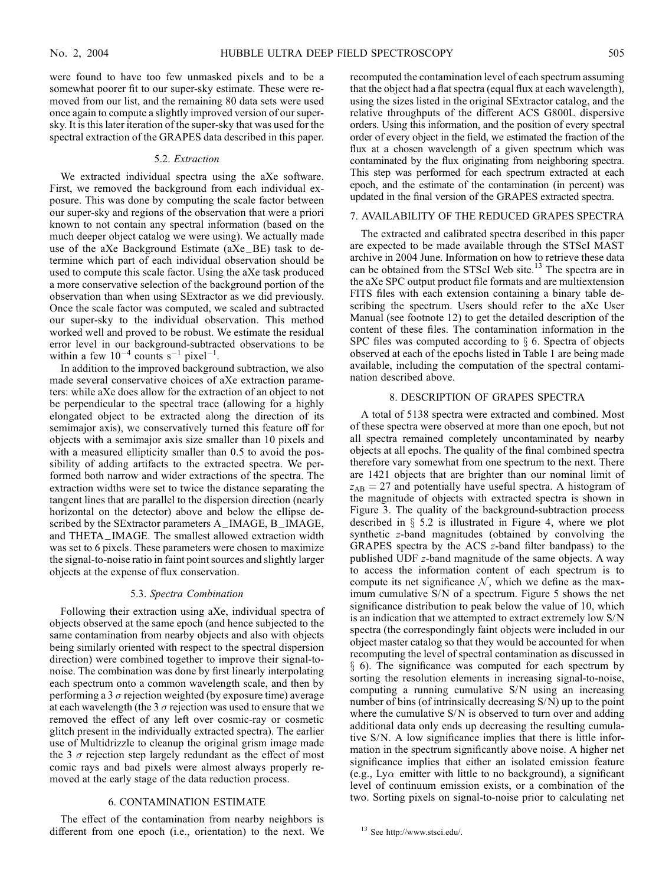were found to have too few unmasked pixels and to be a somewhat poorer fit to our super-sky estimate. These were removed from our list, and the remaining 80 data sets were used once again to compute a slightly improved version of our supersky. It is this later iteration of the super-sky that was used for the spectral extraction of the GRAPES data described in this paper.

### 5.2. Extraction

We extracted individual spectra using the aXe software. First, we removed the background from each individual exposure. This was done by computing the scale factor between our super-sky and regions of the observation that were a priori known to not contain any spectral information (based on the much deeper object catalog we were using). We actually made use of the aXe Background Estimate (aXe\_BE) task to determine which part of each individual observation should be used to compute this scale factor. Using the aXe task produced a more conservative selection of the background portion of the observation than when using SExtractor as we did previously. Once the scale factor was computed, we scaled and subtracted our super-sky to the individual observation. This method worked well and proved to be robust. We estimate the residual error level in our background-subtracted observations to be within a few  $10^{-4}$  counts s<sup>-1</sup> pixel<sup>-1</sup>.

In addition to the improved background subtraction, we also made several conservative choices of aXe extraction parameters: while aXe does allow for the extraction of an object to not be perpendicular to the spectral trace (allowing for a highly elongated object to be extracted along the direction of its semimajor axis), we conservatively turned this feature off for objects with a semimajor axis size smaller than 10 pixels and with a measured ellipticity smaller than 0.5 to avoid the possibility of adding artifacts to the extracted spectra. We performed both narrow and wider extractions of the spectra. The extraction widths were set to twice the distance separating the tangent lines that are parallel to the dispersion direction (nearly horizontal on the detector) above and below the ellipse described by the SExtractor parameters A\_IMAGE, B\_IMAGE, and THETA\_IMAGE. The smallest allowed extraction width was set to 6 pixels. These parameters were chosen to maximize the signal-to-noise ratio in faint point sources and slightly larger objects at the expense of flux conservation.

#### 5.3. Spectra Combination

Following their extraction using aXe, individual spectra of objects observed at the same epoch (and hence subjected to the same contamination from nearby objects and also with objects being similarly oriented with respect to the spectral dispersion direction) were combined together to improve their signal-tonoise. The combination was done by first linearly interpolating each spectrum onto a common wavelength scale, and then by performing a 3  $\sigma$  rejection weighted (by exposure time) average at each wavelength (the 3  $\sigma$  rejection was used to ensure that we removed the effect of any left over cosmic-ray or cosmetic glitch present in the individually extracted spectra). The earlier use of Multidrizzle to cleanup the original grism image made the 3  $\sigma$  rejection step largely redundant as the effect of most comic rays and bad pixels were almost always properly removed at the early stage of the data reduction process.

# 6. CONTAMINATION ESTIMATE

The effect of the contamination from nearby neighbors is different from one epoch (i.e., orientation) to the next. We recomputed the contamination level of each spectrum assuming that the object had a flat spectra (equal flux at each wavelength), using the sizes listed in the original SExtractor catalog, and the relative throughputs of the different ACS G800L dispersive orders. Using this information, and the position of every spectral order of every object in the field, we estimated the fraction of the flux at a chosen wavelength of a given spectrum which was contaminated by the flux originating from neighboring spectra. This step was performed for each spectrum extracted at each epoch, and the estimate of the contamination (in percent) was updated in the final version of the GRAPES extracted spectra.

#### 7. AVAILABILITY OF THE REDUCED GRAPES SPECTRA

The extracted and calibrated spectra described in this paper are expected to be made available through the STScI MAST archive in 2004 June. Information on how to retrieve these data can be obtained from the STScI Web site.<sup>13</sup> The spectra are in the aXe SPC output product file formats and are multiextension FITS files with each extension containing a binary table describing the spectrum. Users should refer to the aXe User Manual (see footnote 12) to get the detailed description of the content of these files. The contamination information in the SPC files was computed according to  $\S$  6. Spectra of objects observed at each of the epochs listed in Table 1 are being made available, including the computation of the spectral contamination described above.

# 8. DESCRIPTION OF GRAPES SPECTRA

A total of 5138 spectra were extracted and combined. Most of these spectra were observed at more than one epoch, but not all spectra remained completely uncontaminated by nearby objects at all epochs. The quality of the final combined spectra therefore vary somewhat from one spectrum to the next. There are 1421 objects that are brighter than our nominal limit of  $z_{AB} = 27$  and potentially have useful spectra. A histogram of the magnitude of objects with extracted spectra is shown in Figure 3. The quality of the background-subtraction process described in  $\S$  5.2 is illustrated in Figure 4, where we plot synthetic z-band magnitudes (obtained by convolving the GRAPES spectra by the ACS z-band filter bandpass) to the published UDF z-band magnitude of the same objects. A way to access the information content of each spectrum is to compute its net significance  $N$ , which we define as the maximum cumulative S/N of a spectrum. Figure 5 shows the net significance distribution to peak below the value of 10, which is an indication that we attempted to extract extremely low S/N spectra (the correspondingly faint objects were included in our object master catalog so that they would be accounted for when recomputing the level of spectral contamination as discussed in  $\S$  6). The significance was computed for each spectrum by sorting the resolution elements in increasing signal-to-noise, computing a running cumulative S/N using an increasing number of bins (of intrinsically decreasing S/N) up to the point where the cumulative S/N is observed to turn over and adding additional data only ends up decreasing the resulting cumulative S/N. A low significance implies that there is little information in the spectrum significantly above noise. A higher net significance implies that either an isolated emission feature (e.g., Ly $\alpha$  emitter with little to no background), a significant level of continuum emission exists, or a combination of the two. Sorting pixels on signal-to-noise prior to calculating net

<sup>13</sup> See http://www.stsci.edu/.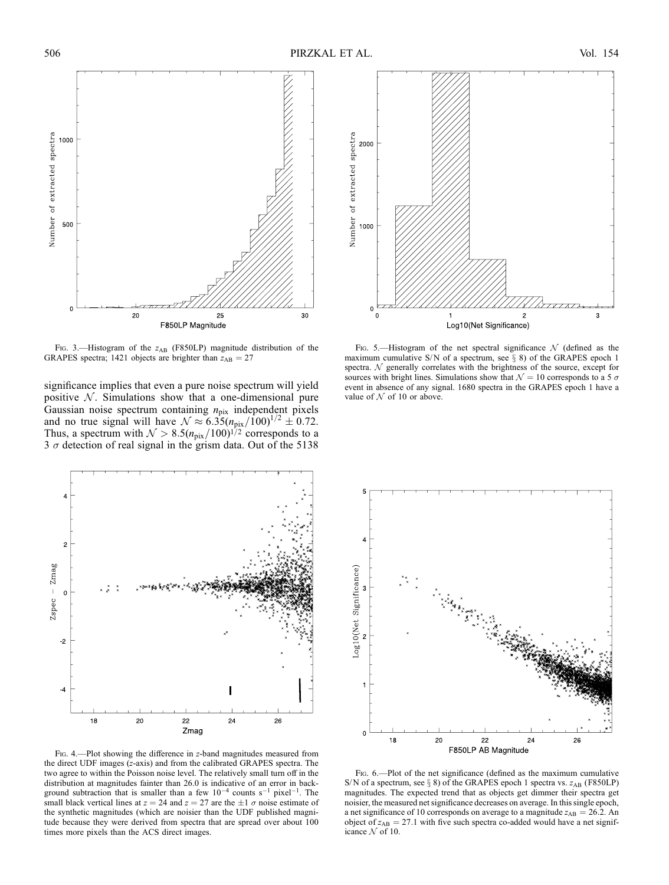

FIG. 3.—Histogram of the  $z_{AB}$  (F850LP) magnitude distribution of the GRAPES spectra; 1421 objects are brighter than  $z_{AB} = 27$ 

significance implies that even a pure noise spectrum will yield positive  $N$ . Simulations show that a one-dimensional pure Gaussian noise spectrum containing  $n_{\text{pix}}$  independent pixels and no true signal will have  $\mathcal{N} \approx 6.35 (n_{\text{pix}}/100)^{1/2} \pm 0.72$ . Thus, a spectrum with  $\mathcal{N} > 8.5(n_{pix}/100)^{1/2}$  corresponds to a  $3 \sigma$  detection of real signal in the grism data. Out of the 5138



Fig. 4.—Plot showing the difference in z-band magnitudes measured from the direct UDF images (z-axis) and from the calibrated GRAPES spectra. The two agree to within the Poisson noise level. The relatively small turn off in the distribution at magnitudes fainter than 26.0 is indicative of an error in background subtraction that is smaller than a few  $10^{-4}$  counts s<sup>-1</sup> pixel<sup>-1</sup>. The small black vertical lines at  $z = 24$  and  $z = 27$  are the  $\pm 1 \sigma$  noise estimate of the synthetic magnitudes (which are noisier than the UDF published magnitude because they were derived from spectra that are spread over about 100 times more pixels than the ACS direct images.



Fig. 5.—Histogram of the net spectral significance  $\mathcal N$  (defined as the maximum cumulative S/N of a spectrum, see  $\S$  8) of the GRAPES epoch 1 spectra.  $N$  generally correlates with the brightness of the source, except for sources with bright lines. Simulations show that  $\mathcal{N} = 10$  corresponds to a 5  $\sigma$ event in absence of any signal. 1680 spectra in the GRAPES epoch 1 have a value of  $N$  of 10 or above.



Fig. 6.—Plot of the net significance (defined as the maximum cumulative S/N of a spectrum, see  $\S$  8) of the GRAPES epoch 1 spectra vs.  $z_{AB}$  (F850LP) magnitudes. The expected trend that as objects get dimmer their spectra get noisier, the measured net significance decreases on average. In this single epoch, a net significance of 10 corresponds on average to a magnitude  $z_{AB} = 26.2$ . An object of  $z_{AB} = 27.1$  with five such spectra co-added would have a net significance  $N$  of 10.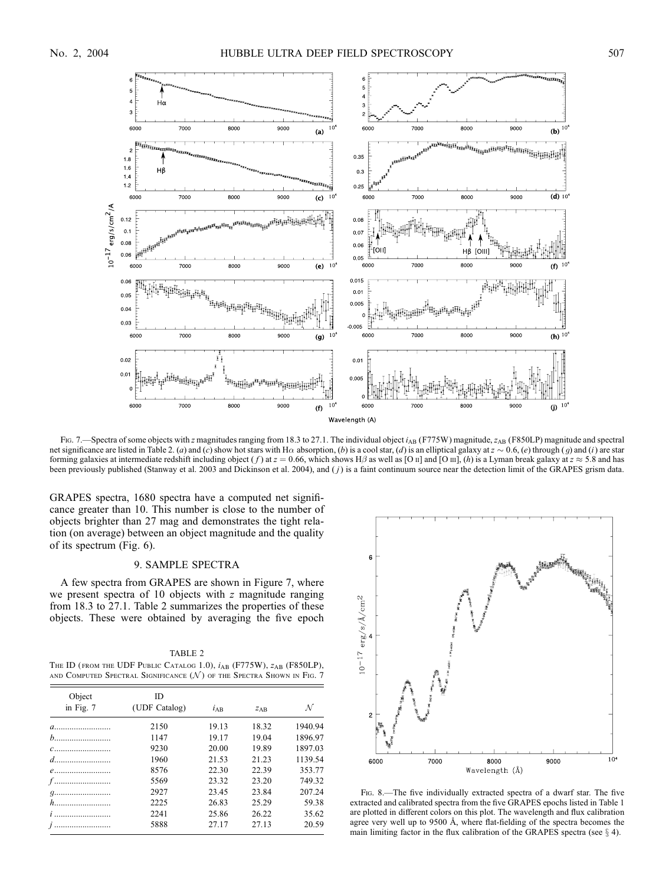

Fig. 7.—Spectra of some objects with z magnitudes ranging from 18.3 to 27.1. The individual object  $i<sub>AB</sub>$  (F775W) magnitude, z<sub>AB</sub> (F850LP) magnitude and spectral net significance are listed in Table 2. (a) and (c) show hot stars with H $\alpha$  absorption, (b) is a cool star, (d) is an elliptical galaxy at  $z \sim 0.6$ , (e) through (g) and (i) are star forming galaxies at intermediate redshift including object (f) at  $z = 0.66$ , which shows H $\beta$  as well as [O ii] and [O iii], (h) is a Lyman break galaxy at  $z \approx 5.8$  and has been previously published (Stanway et al. 2003 and Dickinson et al. 2004), and (*j*) is a faint continuum source near the detection limit of the GRAPES grism data.

GRAPES spectra, 1680 spectra have a computed net significance greater than 10. This number is close to the number of objects brighter than 27 mag and demonstrates the tight relation (on average) between an object magnitude and the quality of its spectrum (Fig. 6).

# 9. SAMPLE SPECTRA

A few spectra from GRAPES are shown in Figure 7, where we present spectra of 10 objects with z magnitude ranging from 18.3 to 27.1. Table 2 summarizes the properties of these objects. These were obtained by averaging the five epoch

TABLE 2 THE ID (FROM THE UDF PUBLIC CATALOG 1.0),  $i_{AB}$  (F775W),  $z_{AB}$  (F850LP), AND COMPUTED SPECTRAL SIGNIFICANCE  $(\mathcal{N})$  of the Spectra Shown in Fig. 7

| Object     | ID            |          |       |         |
|------------|---------------|----------|-------|---------|
| in Fig. 7  | (UDF Catalog) | $l_{AB}$ | ZAB   | N       |
| $a$        | 2150          | 19.13    | 18.32 | 1940.94 |
| $b$        | 1147          | 19.17    | 19.04 | 1896.97 |
| $c$        | 9230          | 20.00    | 19.89 | 1897.03 |
|            | 1960          | 21.53    | 21.23 | 1139.54 |
| $e$        | 8576          | 22.30    | 22.39 | 353.77  |
| $f$        | 5569          | 23.32    | 23.20 | 749.32  |
| <i>q</i> . | 2927          | 23.45    | 23.84 | 207.24  |
| $h$        | 2225          | 26.83    | 25.29 | 59.38   |
| $i$        | 2241          | 25.86    | 26.22 | 35.62   |
|            | 5888          | 27.17    | 27.13 | 20.59   |



FIG. 8.—The five individually extracted spectra of a dwarf star. The five extracted and calibrated spectra from the five GRAPES epochs listed in Table 1 are plotted in different colors on this plot. The wavelength and flux calibration agree very well up to 9500 Å, where flat-fielding of the spectra becomes the main limiting factor in the flux calibration of the GRAPES spectra (see  $\S$  4).